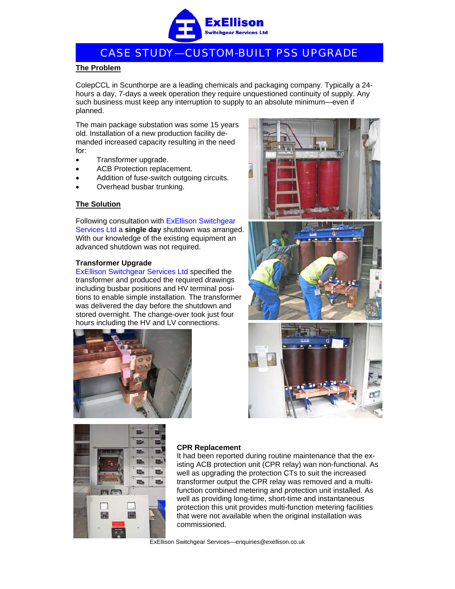

# CASE STUDY—CUSTOM-BUILT PSS UPGRADE

#### **The Problem**

ColepCCL in Scunthorpe are a leading chemicals and packaging company. Typically a 24 hours a day, 7-days a week operation they require unquestioned continuity of supply. Any such business must keep any interruption to supply to an absolute minimum—even if planned.

The main package substation was some 15 years old. Installation of a new production facility demanded increased capacity resulting in the need for:

- Transformer upgrade.
- ACB Protection replacement.
- Addition of fuse-switch outgoing circuits.
- Overhead busbar trunking.

## **The Solution**

Following consultation with ExEllison Switchgear Services Ltd a **single day** shutdown was arranged. With our knowledge of the existing equipment an advanced shutdown was not required.

#### **Transformer Upgrade**

ExEllison Switchgear Services Ltd specified the transformer and produced the required drawings including busbar positions and HV terminal positions to enable simple installation. The transformer was delivered the day before the shutdown and stored overnight. The change-over took just four hours including the HV and LV connections.











## **CPR Replacement**

It had been reported during routine maintenance that the existing ACB protection unit (CPR relay) wan non-functional. As well as upgrading the protection CTs to suit the increased transformer output the CPR relay was removed and a multifunction combined metering and protection unit installed. As well as providing long-time, short-time and instantaneous protection this unit provides multi-function metering facilities that were not available when the original installation was commissioned.

ExEllison Switchgear Services—enquiries@exellison.co.uk